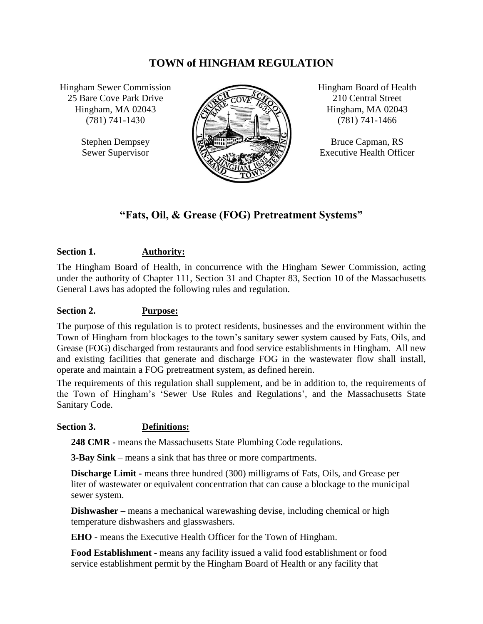# **TOWN of HINGHAM REGULATION**

Hingham Sewer Commission 25 Bare Cove Park Drive Hingham, MA 02043 (781) 741-1430

> Stephen Dempsey Sewer Supervisor



Hingham Board of Health 210 Central Street Hingham, MA 02043 (781) 741-1466

Bruce Capman, RS Executive Health Officer

# **"Fats, Oil, & Grease (FOG) Pretreatment Systems"**

# **Section 1. Authority:**

The Hingham Board of Health, in concurrence with the Hingham Sewer Commission, acting under the authority of Chapter 111, Section 31 and Chapter 83, Section 10 of the Massachusetts General Laws has adopted the following rules and regulation.

### **Section 2. Purpose:**

The purpose of this regulation is to protect residents, businesses and the environment within the Town of Hingham from blockages to the town's sanitary sewer system caused by Fats, Oils, and Grease (FOG) discharged from restaurants and food service establishments in Hingham. All new and existing facilities that generate and discharge FOG in the wastewater flow shall install, operate and maintain a FOG pretreatment system, as defined herein.

The requirements of this regulation shall supplement, and be in addition to, the requirements of the Town of Hingham's 'Sewer Use Rules and Regulations', and the Massachusetts State Sanitary Code.

#### **Section 3. Definitions:**

**248 CMR -** means the Massachusetts State Plumbing Code regulations.

**3-Bay Sink** – means a sink that has three or more compartments.

**Discharge Limit -** means three hundred (300) milligrams of Fats, Oils, and Grease per liter of wastewater or equivalent concentration that can cause a blockage to the municipal sewer system.

**Dishwasher** – means a mechanical warewashing devise, including chemical or high temperature dishwashers and glasswashers.

**EHO** - means the Executive Health Officer for the Town of Hingham.

**Food Establishment -** means any facility issued a valid food establishment or food service establishment permit by the Hingham Board of Health or any facility that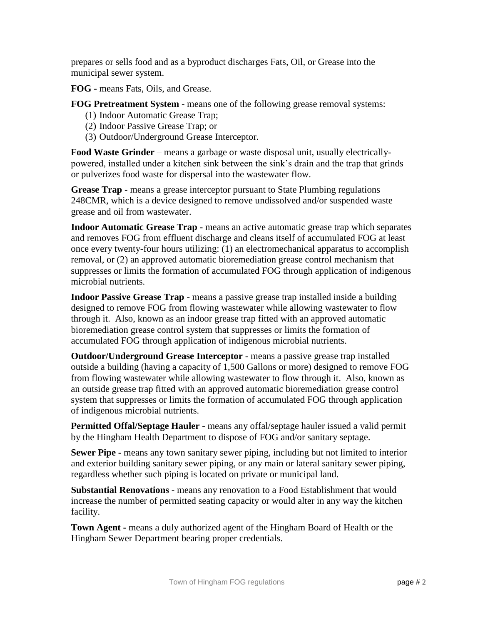prepares or sells food and as a byproduct discharges Fats, Oil, or Grease into the municipal sewer system.

**FOG -** means Fats, Oils, and Grease.

**FOG Pretreatment System -** means one of the following grease removal systems:

- (1) Indoor Automatic Grease Trap;
- (2) Indoor Passive Grease Trap; or
- (3) Outdoor/Underground Grease Interceptor.

**Food Waste Grinder** – means a garbage or waste disposal unit, usually electricallypowered, installed under a kitchen sink between the sink's drain and the trap that grinds or pulverizes food waste for dispersal into the wastewater flow.

**Grease Trap -** means a grease interceptor pursuant to State Plumbing regulations 248CMR, which is a device designed to remove undissolved and/or suspended waste grease and oil from wastewater.

**Indoor Automatic Grease Trap -** means an active automatic grease trap which separates and removes FOG from effluent discharge and cleans itself of accumulated FOG at least once every twenty-four hours utilizing: (1) an electromechanical apparatus to accomplish removal, or (2) an approved automatic bioremediation grease control mechanism that suppresses or limits the formation of accumulated FOG through application of indigenous microbial nutrients.

**Indoor Passive Grease Trap -** means a passive grease trap installed inside a building designed to remove FOG from flowing wastewater while allowing wastewater to flow through it. Also, known as an indoor grease trap fitted with an approved automatic bioremediation grease control system that suppresses or limits the formation of accumulated FOG through application of indigenous microbial nutrients.

**Outdoor/Underground Grease Interceptor** - means a passive grease trap installed outside a building (having a capacity of 1,500 Gallons or more) designed to remove FOG from flowing wastewater while allowing wastewater to flow through it. Also, known as an outside grease trap fitted with an approved automatic bioremediation grease control system that suppresses or limits the formation of accumulated FOG through application of indigenous microbial nutrients.

**Permitted Offal/Septage Hauler -** means any offal/septage hauler issued a valid permit by the Hingham Health Department to dispose of FOG and/or sanitary septage.

**Sewer Pipe -** means any town sanitary sewer piping, including but not limited to interior and exterior building sanitary sewer piping, or any main or lateral sanitary sewer piping, regardless whether such piping is located on private or municipal land.

**Substantial Renovations -** means any renovation to a Food Establishment that would increase the number of permitted seating capacity or would alter in any way the kitchen facility.

**Town Agent -** means a duly authorized agent of the Hingham Board of Health or the Hingham Sewer Department bearing proper credentials.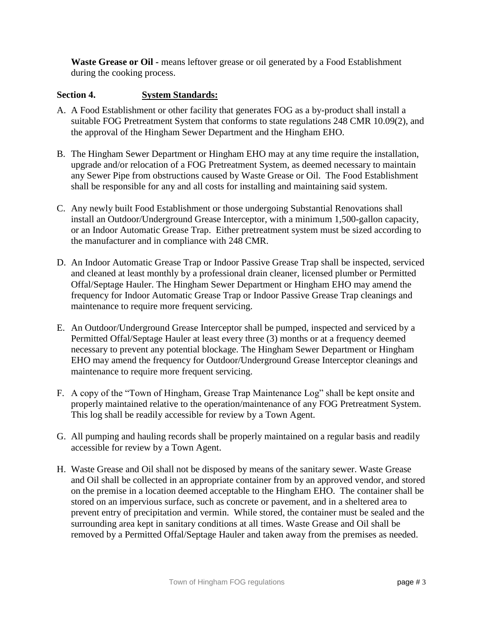**Waste Grease or Oil -** means leftover grease or oil generated by a Food Establishment during the cooking process.

## **Section 4. System Standards:**

- A. A Food Establishment or other facility that generates FOG as a by-product shall install a suitable FOG Pretreatment System that conforms to state regulations 248 CMR 10.09(2), and the approval of the Hingham Sewer Department and the Hingham EHO.
- B. The Hingham Sewer Department or Hingham EHO may at any time require the installation, upgrade and/or relocation of a FOG Pretreatment System, as deemed necessary to maintain any Sewer Pipe from obstructions caused by Waste Grease or Oil. The Food Establishment shall be responsible for any and all costs for installing and maintaining said system.
- C. Any newly built Food Establishment or those undergoing Substantial Renovations shall install an Outdoor/Underground Grease Interceptor, with a minimum 1,500-gallon capacity, or an Indoor Automatic Grease Trap. Either pretreatment system must be sized according to the manufacturer and in compliance with 248 CMR.
- D. An Indoor Automatic Grease Trap or Indoor Passive Grease Trap shall be inspected, serviced and cleaned at least monthly by a professional drain cleaner, licensed plumber or Permitted Offal/Septage Hauler. The Hingham Sewer Department or Hingham EHO may amend the frequency for Indoor Automatic Grease Trap or Indoor Passive Grease Trap cleanings and maintenance to require more frequent servicing.
- E. An Outdoor/Underground Grease Interceptor shall be pumped, inspected and serviced by a Permitted Offal/Septage Hauler at least every three (3) months or at a frequency deemed necessary to prevent any potential blockage. The Hingham Sewer Department or Hingham EHO may amend the frequency for Outdoor/Underground Grease Interceptor cleanings and maintenance to require more frequent servicing.
- F. A copy of the "Town of Hingham, Grease Trap Maintenance Log" shall be kept onsite and properly maintained relative to the operation/maintenance of any FOG Pretreatment System. This log shall be readily accessible for review by a Town Agent.
- G. All pumping and hauling records shall be properly maintained on a regular basis and readily accessible for review by a Town Agent.
- H. Waste Grease and Oil shall not be disposed by means of the sanitary sewer. Waste Grease and Oil shall be collected in an appropriate container from by an approved vendor, and stored on the premise in a location deemed acceptable to the Hingham EHO. The container shall be stored on an impervious surface, such as concrete or pavement, and in a sheltered area to prevent entry of precipitation and vermin. While stored, the container must be sealed and the surrounding area kept in sanitary conditions at all times. Waste Grease and Oil shall be removed by a Permitted Offal/Septage Hauler and taken away from the premises as needed.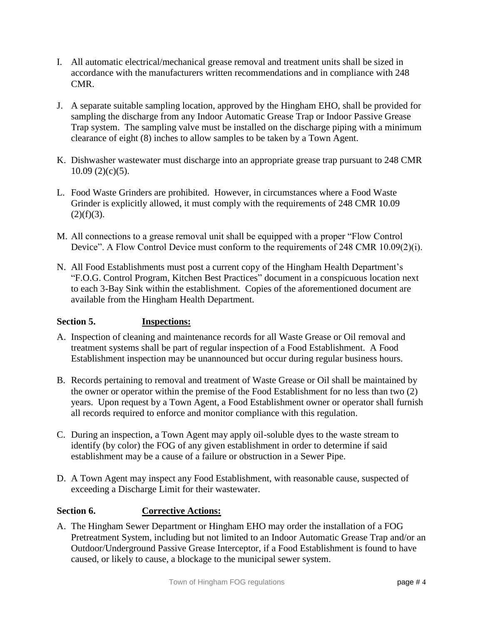- I. All automatic electrical/mechanical grease removal and treatment units shall be sized in accordance with the manufacturers written recommendations and in compliance with 248 CMR.
- J. A separate suitable sampling location, approved by the Hingham EHO, shall be provided for sampling the discharge from any Indoor Automatic Grease Trap or Indoor Passive Grease Trap system. The sampling valve must be installed on the discharge piping with a minimum clearance of eight (8) inches to allow samples to be taken by a Town Agent.
- K. Dishwasher wastewater must discharge into an appropriate grease trap pursuant to 248 CMR  $10.09(2)(c)(5)$ .
- L. Food Waste Grinders are prohibited. However, in circumstances where a Food Waste Grinder is explicitly allowed, it must comply with the requirements of 248 CMR 10.09  $(2)(f)(3)$ .
- M. All connections to a grease removal unit shall be equipped with a proper "Flow Control Device". A Flow Control Device must conform to the requirements of 248 CMR 10.09(2)(i).
- N. All Food Establishments must post a current copy of the Hingham Health Department's "F.O.G. Control Program, Kitchen Best Practices" document in a conspicuous location next to each 3-Bay Sink within the establishment. Copies of the aforementioned document are available from the Hingham Health Department.

## **Section 5. Inspections:**

- A. Inspection of cleaning and maintenance records for all Waste Grease or Oil removal and treatment systems shall be part of regular inspection of a Food Establishment. A Food Establishment inspection may be unannounced but occur during regular business hours.
- B. Records pertaining to removal and treatment of Waste Grease or Oil shall be maintained by the owner or operator within the premise of the Food Establishment for no less than two (2) years. Upon request by a Town Agent, a Food Establishment owner or operator shall furnish all records required to enforce and monitor compliance with this regulation.
- C. During an inspection, a Town Agent may apply oil-soluble dyes to the waste stream to identify (by color) the FOG of any given establishment in order to determine if said establishment may be a cause of a failure or obstruction in a Sewer Pipe.
- D. A Town Agent may inspect any Food Establishment, with reasonable cause, suspected of exceeding a Discharge Limit for their wastewater.

## **Section 6. Corrective Actions:**

A. The Hingham Sewer Department or Hingham EHO may order the installation of a FOG Pretreatment System, including but not limited to an Indoor Automatic Grease Trap and/or an Outdoor/Underground Passive Grease Interceptor, if a Food Establishment is found to have caused, or likely to cause, a blockage to the municipal sewer system.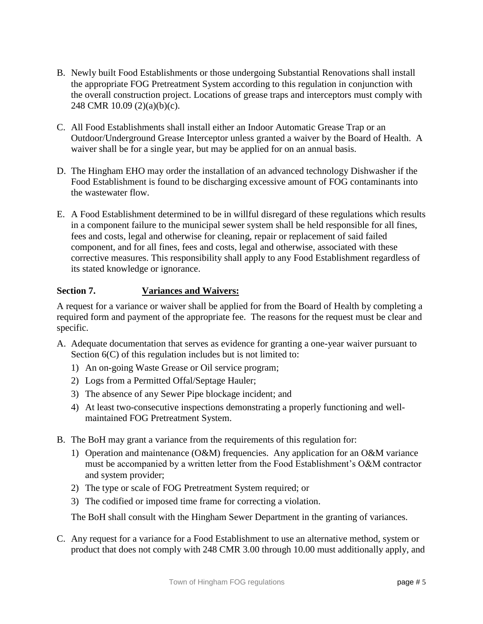- B. Newly built Food Establishments or those undergoing Substantial Renovations shall install the appropriate FOG Pretreatment System according to this regulation in conjunction with the overall construction project. Locations of grease traps and interceptors must comply with 248 CMR 10.09 (2)(a)(b)(c).
- C. All Food Establishments shall install either an Indoor Automatic Grease Trap or an Outdoor/Underground Grease Interceptor unless granted a waiver by the Board of Health. A waiver shall be for a single year, but may be applied for on an annual basis.
- D. The Hingham EHO may order the installation of an advanced technology Dishwasher if the Food Establishment is found to be discharging excessive amount of FOG contaminants into the wastewater flow.
- E. A Food Establishment determined to be in willful disregard of these regulations which results in a component failure to the municipal sewer system shall be held responsible for all fines, fees and costs, legal and otherwise for cleaning, repair or replacement of said failed component, and for all fines, fees and costs, legal and otherwise, associated with these corrective measures. This responsibility shall apply to any Food Establishment regardless of its stated knowledge or ignorance.

# **Section 7. Variances and Waivers:**

A request for a variance or waiver shall be applied for from the Board of Health by completing a required form and payment of the appropriate fee. The reasons for the request must be clear and specific.

- A. Adequate documentation that serves as evidence for granting a one-year waiver pursuant to Section  $6(C)$  of this regulation includes but is not limited to:
	- 1) An on-going Waste Grease or Oil service program;
	- 2) Logs from a Permitted Offal/Septage Hauler;
	- 3) The absence of any Sewer Pipe blockage incident; and
	- 4) At least two-consecutive inspections demonstrating a properly functioning and wellmaintained FOG Pretreatment System.
- B. The BoH may grant a variance from the requirements of this regulation for:
	- 1) Operation and maintenance (O&M) frequencies. Any application for an O&M variance must be accompanied by a written letter from the Food Establishment's O&M contractor and system provider;
	- 2) The type or scale of FOG Pretreatment System required; or
	- 3) The codified or imposed time frame for correcting a violation.

The BoH shall consult with the Hingham Sewer Department in the granting of variances.

C. Any request for a variance for a Food Establishment to use an alternative method, system or product that does not comply with 248 CMR 3.00 through 10.00 must additionally apply, and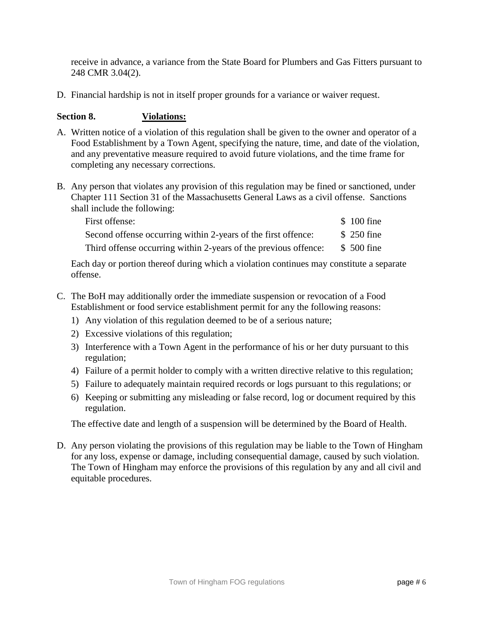receive in advance, a variance from the State Board for Plumbers and Gas Fitters pursuant to 248 CMR 3.04(2).

D. Financial hardship is not in itself proper grounds for a variance or waiver request.

### **Section 8. Violations:**

- A. Written notice of a violation of this regulation shall be given to the owner and operator of a Food Establishment by a Town Agent, specifying the nature, time, and date of the violation, and any preventative measure required to avoid future violations, and the time frame for completing any necessary corrections.
- B. Any person that violates any provision of this regulation may be fined or sanctioned, under Chapter 111 Section 31 of the Massachusetts General Laws as a civil offense. Sanctions shall include the following:

| First offense:                                                  | \$100 fine  |
|-----------------------------------------------------------------|-------------|
| Second offense occurring within 2-years of the first offence:   | \$ 250 fine |
| Third offense occurring within 2-years of the previous offence: | \$ 500 fine |

Each day or portion thereof during which a violation continues may constitute a separate offense.

- C. The BoH may additionally order the immediate suspension or revocation of a Food Establishment or food service establishment permit for any the following reasons:
	- 1) Any violation of this regulation deemed to be of a serious nature;
	- 2) Excessive violations of this regulation;
	- 3) Interference with a Town Agent in the performance of his or her duty pursuant to this regulation;
	- 4) Failure of a permit holder to comply with a written directive relative to this regulation;
	- 5) Failure to adequately maintain required records or logs pursuant to this regulations; or
	- 6) Keeping or submitting any misleading or false record, log or document required by this regulation.

The effective date and length of a suspension will be determined by the Board of Health.

D. Any person violating the provisions of this regulation may be liable to the Town of Hingham for any loss, expense or damage, including consequential damage, caused by such violation. The Town of Hingham may enforce the provisions of this regulation by any and all civil and equitable procedures.